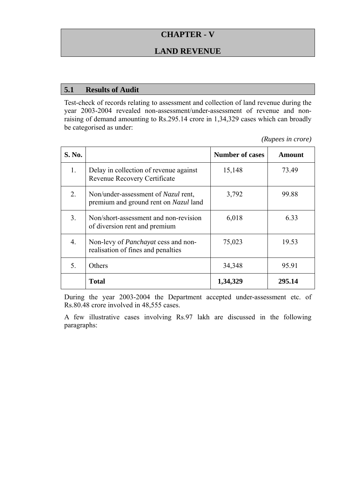# **CHAPTER - V**

## **LAND REVENUE**

#### **5.1 Results of Audit**

Test-check of records relating to assessment and collection of land revenue during the year 2003-2004 revealed non-assessment/under-assessment of revenue and nonraising of demand amounting to Rs.295.14 crore in 1,34,329 cases which can broadly be categorised as under:

*(Rupees in crore)* 

| <b>S. No.</b> |                                                                                     | <b>Number of cases</b> | Amount |
|---------------|-------------------------------------------------------------------------------------|------------------------|--------|
| 1.            | Delay in collection of revenue against<br>Revenue Recovery Certificate              | 15,148                 | 73.49  |
| 2.            | Non/under-assessment of <i>Nazul</i> rent,<br>premium and ground rent on Nazul land | 3,792                  | 99.88  |
| 3.            | Non/short-assessment and non-revision<br>of diversion rent and premium              | 6,018                  | 6.33   |
| 4.            | Non-levy of <i>Panchayat</i> cess and non-<br>realisation of fines and penalties    | 75,023                 | 19.53  |
| 5.            | Others                                                                              | 34,348                 | 95.91  |
|               | <b>Total</b>                                                                        | 1,34,329               | 295.14 |

During the year 2003-2004 the Department accepted under-assessment etc. of Rs.80.48 crore involved in 48,555 cases.

A few illustrative cases involving Rs.97 lakh are discussed in the following paragraphs: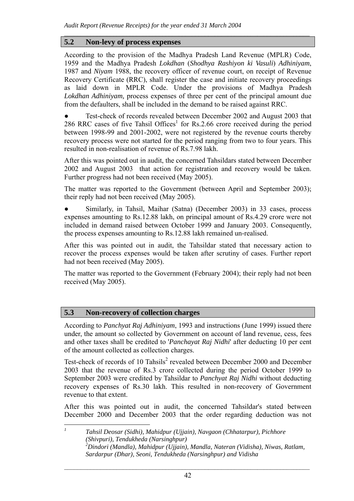### **5.2 Non-levy of process expenses**

According to the provision of the Madhya Pradesh Land Revenue (MPLR) Code, 1959 and the Madhya Pradesh *Lokdhan* (*Shodhya Rashiyon ki Vasuli*) *Adhiniyam*, 1987 and *Niyam* 1988, the recovery officer of revenue court, on receipt of Revenue Recovery Certificate (RRC), shall register the case and initiate recovery proceedings as laid down in MPLR Code. Under the provisions of Madhya Pradesh *Lokdhan Adhiniyam,* process expenses of three per cent of the principal amount due from the defaulters, shall be included in the demand to be raised against RRC.

 $\mathcal{L}_\text{max} = \frac{1}{2} \sum_{i=1}^n \mathcal{L}_\text{max} = \frac{1}{2} \sum_{i=1}^n \mathcal{L}_\text{max} = \frac{1}{2} \sum_{i=1}^n \mathcal{L}_\text{max} = \frac{1}{2} \sum_{i=1}^n \mathcal{L}_\text{max} = \frac{1}{2} \sum_{i=1}^n \mathcal{L}_\text{max} = \frac{1}{2} \sum_{i=1}^n \mathcal{L}_\text{max} = \frac{1}{2} \sum_{i=1}^n \mathcal{L}_\text{max} = \frac{1}{2} \sum_{i=$ 

Test-check of records revealed between December 2002 and August 2003 that 286 RRC cases of five Tahsil Offices<sup>1</sup> for Rs.2.66 crore received during the period between 1998-99 and 2001-2002, were not registered by the revenue courts thereby recovery process were not started for the period ranging from two to four years. This resulted in non-realisation of revenue of Rs.7.98 lakh.

After this was pointed out in audit, the concerned Tahsildars stated between December 2002 and August 2003 that action for registration and recovery would be taken. Further progress had not been received (May 2005).

The matter was reported to the Government (between April and September 2003); their reply had not been received (May 2005).

● Similarly, in Tahsil, Maihar (Satna) (December 2003) in 33 cases, process expenses amounting to Rs.12.88 lakh, on principal amount of Rs.4.29 crore were not included in demand raised between October 1999 and January 2003. Consequently, the process expenses amounting to Rs.12.88 lakh remained un-realised.

After this was pointed out in audit, the Tahsildar stated that necessary action to recover the process expenses would be taken after scrutiny of cases. Further report had not been received (May 2005).

The matter was reported to the Government (February 2004); their reply had not been received (May 2005).

## **5.3 Non-recovery of collection charges**

According to *Panchyat Raj Adhiniyam*, 1993 and instructions (June 1999) issued there under, the amount so collected by Government on account of land revenue, cess, fees and other taxes shall be credited to '*Panchayat Raj Nidhi*' after deducting 10 per cent of the amount collected as collection charges.

Test-check of records of 10 Tahsils<sup>2</sup> revealed between December 2000 and December 2003 that the revenue of Rs.3 crore collected during the period October 1999 to September 2003 were credited by Tahsildar to *Panchyat Raj Nidhi* without deducting recovery expenses of Rs.30 lakh. This resulted in non-recovery of Government revenue to that extent.

After this was pointed out in audit, the concerned Tahsildar's stated between December 2000 and December 2003 that the order regarding deduction was not

 *1 Tahsil Deosar (Sidhi), Mahidpur (Ujjain), Navgaon (Chhatarpur), Pichhore (Shivpuri), Tendukheda (Narsinghpur) 2 Dindori (Mandla), Mahidpur (Ujjain), Mandla, Nateran (Vidisha), Niwas, Ratlam, Sardarpur (Dhar), Seoni, Tendukheda (Narsinghpur) and Vidisha*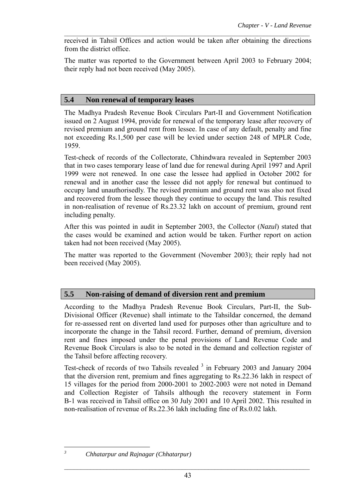received in Tahsil Offices and action would be taken after obtaining the directions from the district office.

 $\mathcal{L}_\text{max} = \frac{1}{2} \sum_{i=1}^n \mathcal{L}_\text{max} = \frac{1}{2} \sum_{i=1}^n \mathcal{L}_\text{max} = \frac{1}{2} \sum_{i=1}^n \mathcal{L}_\text{max} = \frac{1}{2} \sum_{i=1}^n \mathcal{L}_\text{max} = \frac{1}{2} \sum_{i=1}^n \mathcal{L}_\text{max} = \frac{1}{2} \sum_{i=1}^n \mathcal{L}_\text{max} = \frac{1}{2} \sum_{i=1}^n \mathcal{L}_\text{max} = \frac{1}{2} \sum_{i=$ 

The matter was reported to the Government between April 2003 to February 2004; their reply had not been received (May 2005).

### **5.4 Non renewal of temporary leases**

The Madhya Pradesh Revenue Book Circulars Part-II and Government Notification issued on 2 August 1994, provide for renewal of the temporary lease after recovery of revised premium and ground rent from lessee. In case of any default, penalty and fine not exceeding Rs.1,500 per case will be levied under section 248 of MPLR Code, 1959.

Test-check of records of the Collectorate, Chhindwara revealed in September 2003 that in two cases temporary lease of land due for renewal during April 1997 and April 1999 were not renewed. In one case the lessee had applied in October 2002 for renewal and in another case the lessee did not apply for renewal but continued to occupy land unauthorisedly. The revised premium and ground rent was also not fixed and recovered from the lessee though they continue to occupy the land. This resulted in non-realisation of revenue of Rs.23.32 lakh on account of premium, ground rent including penalty.

After this was pointed in audit in September 2003, the Collector (*Nazul*) stated that the cases would be examined and action would be taken. Further report on action taken had not been received (May 2005).

The matter was reported to the Government (November 2003); their reply had not been received (May 2005).

## **5.5 Non-raising of demand of diversion rent and premium**

According to the Madhya Pradesh Revenue Book Circulars, Part-II, the Sub-Divisional Officer (Revenue) shall intimate to the Tahsildar concerned, the demand for re-assessed rent on diverted land used for purposes other than agriculture and to incorporate the change in the Tahsil record. Further, demand of premium, diversion rent and fines imposed under the penal provisions of Land Revenue Code and Revenue Book Circulars is also to be noted in the demand and collection register of the Tahsil before affecting recovery.

Test-check of records of two Tahsils revealed  $3$  in February 2003 and January 2004 that the diversion rent, premium and fines aggregating to Rs.22.36 lakh in respect of 15 villages for the period from 2000-2001 to 2002-2003 were not noted in Demand and Collection Register of Tahsils although the recovery statement in Form B-1 was received in Tahsil office on 30 July 2001 and 10 April 2002. This resulted in non-realisation of revenue of Rs.22.36 lakh including fine of Rs.0.02 lakh.

 $\overline{a}$ *3*

*Chhatarpur and Rajnagar (Chhatarpur)*